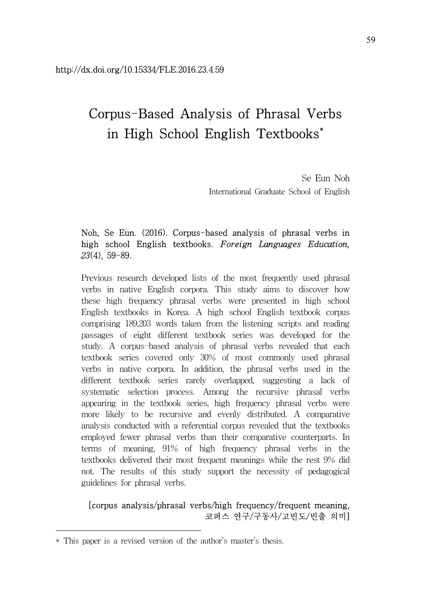# Corpus-Based Analysis of Phrasal Verbs in High School English Textbooks\*

Se Eun Noh International Graduate School of English

# Noh, Se Eun. (2016). Corpus-based analysis of phrasal verbs in high school English textbooks. Foreign Languages Education, 23(4), 59-89.

Previous research developed lists of the most frequently used phrasal verbs in native English corpora. This study aims to discover how these high frequency phrasal verbs were presented in high school English textbooks in Korea. A high school English textbook corpus comprising 189,203 words taken from the listening scripts and reading passages of eight different textbook series was developed for the study. A corpus-based analysis of phrasal verbs revealed that each textbook series covered only 30% of most commonly used phrasal verbs in native corpora. In addition, the phrasal verbs used in the different textbook series rarely overlapped, suggesting a lack of systematic selection process. Among the recursive phrasal verbs appearing in the textbook series, high frequency phrasal verbs were more likely to be recursive and evenly distributed. A comparative analysis conducted with a referential corpus revealed that the textbooks employed fewer phrasal verbs than their comparative counterparts. In terms of meaning, 91% of high frequency phrasal verbs in the textbooks delivered their most frequent meanings while the rest 9% did not. The results of this study support the necessity of pedagogical guidelines for phrasal verbs.

# [corpus analysis/phrasal verbs/high frequency/frequent meaning, 코퍼스 연구/구동사/고빈도/빈출 의미]

<sup>\*</sup> This paper is a revised version of the author's master's thesis.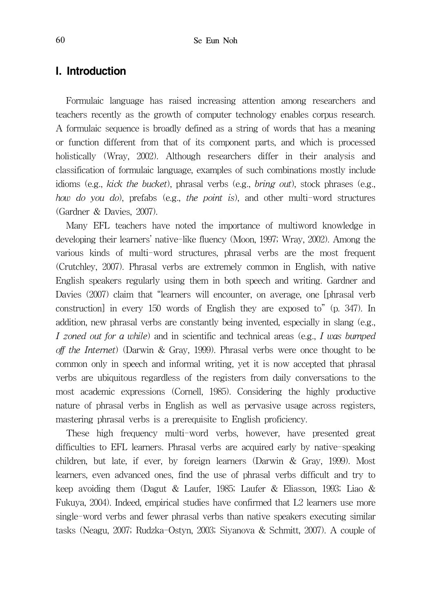# I. Introduction

Formulaic language has raised increasing attention among researchers and teachers recently as the growth of computer technology enables corpus research. A formulaic sequence is broadly defined as a string of words that has a meaning or function different from that of its component parts, and which is processed holistically (Wray, 2002). Although researchers differ in their analysis and classification of formulaic language, examples of such combinations mostly include idioms (e.g., kick the bucket), phrasal verbs (e.g., bring out), stock phrases (e.g., how do you do), prefabs (e.g., the point is), and other multi-word structures (Gardner & Davies, 2007).

Many EFL teachers have noted the importance of multiword knowledge in developing their learners' native-like fluency (Moon, 1997; Wray, 2002). Among the various kinds of multi-word structures, phrasal verbs are the most frequent (Crutchley, 2007). Phrasal verbs are extremely common in English, with native English speakers regularly using them in both speech and writing. Gardner and Davies (2007) claim that "learners will encounter, on average, one [phrasal verb construction] in every 150 words of English they are exposed to" (p. 347). In addition, new phrasal verbs are constantly being invented, especially in slang (e.g., I zoned out for a while) and in scientific and technical areas (e.g., I was bumped off the Internet) (Darwin & Gray, 1999). Phrasal verbs were once thought to be common only in speech and informal writing, yet it is now accepted that phrasal verbs are ubiquitous regardless of the registers from daily conversations to the most academic expressions (Cornell, 1985). Considering the highly productive nature of phrasal verbs in English as well as pervasive usage across registers, mastering phrasal verbs is a prerequisite to English proficiency.

These high frequency multi-word verbs, however, have presented great difficulties to EFL learners. Phrasal verbs are acquired early by native-speaking children, but late, if ever, by foreign learners (Darwin & Gray, 1999). Most learners, even advanced ones, find the use of phrasal verbs difficult and try to keep avoiding them (Dagut & Laufer, 1985; Laufer & Eliasson, 1993; Liao & Fukuya, 2004). Indeed, empirical studies have confirmed that L2 learners use more single-word verbs and fewer phrasal verbs than native speakers executing similar tasks (Neagu, 2007; Rudzka-Ostyn, 2003; Siyanova & Schmitt, 2007). A couple of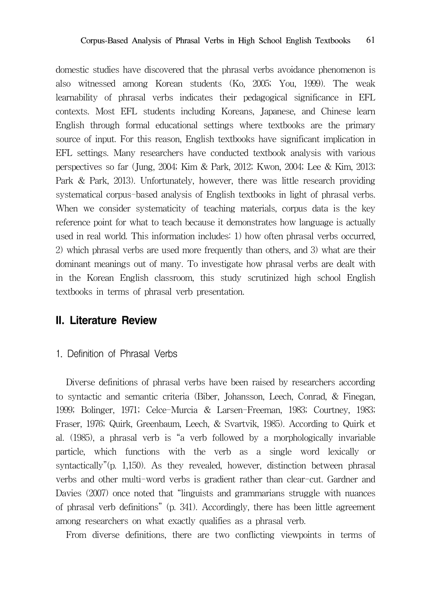domestic studies have discovered that the phrasal verbs avoidance phenomenon is also witnessed among Korean students (Ko, 2005; You, 1999). The weak learnability of phrasal verbs indicates their pedagogical significance in EFL contexts. Most EFL students including Koreans, Japanese, and Chinese learn English through formal educational settings where textbooks are the primary source of input. For this reason, English textbooks have significant implication in EFL settings. Many researchers have conducted textbook analysis with various perspectives so far (Jung, 2004; Kim & Park, 2012; Kwon, 2004; Lee & Kim, 2013; Park & Park, 2013). Unfortunately, however, there was little research providing systematical corpus-based analysis of English textbooks in light of phrasal verbs. When we consider systematicity of teaching materials, corpus data is the key reference point for what to teach because it demonstrates how language is actually used in real world. This information includes: 1) how often phrasal verbs occurred, 2) which phrasal verbs are used more frequently than others, and 3) what are their dominant meanings out of many. To investigate how phrasal verbs are dealt with in the Korean English classroom, this study scrutinized high school English textbooks in terms of phrasal verb presentation.

# II. Literature Review

#### 1. Definition of Phrasal Verbs

Diverse definitions of phrasal verbs have been raised by researchers according to syntactic and semantic criteria (Biber, Johansson, Leech, Conrad, & Finegan, 1999; Bolinger, 1971; Celce-Murcia & Larsen-Freeman, 1983; Courtney, 1983; Fraser, 1976; Quirk, Greenbaum, Leech, & Svartvik, 1985). According to Quirk et al. (1985), a phrasal verb is "a verb followed by a morphologically invariable particle, which functions with the verb as a single word lexically or syntactically"(p. 1,150). As they revealed, however, distinction between phrasal verbs and other multi-word verbs is gradient rather than clear-cut. Gardner and Davies (2007) once noted that "linguists and grammarians struggle with nuances of phrasal verb definitions" (p. 341). Accordingly, there has been little agreement among researchers on what exactly qualifies as a phrasal verb.

From diverse definitions, there are two conflicting viewpoints in terms of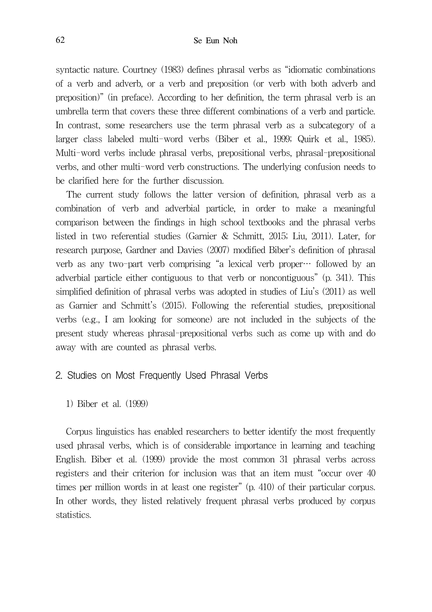syntactic nature. Courtney (1983) defines phrasal verbs as "idiomatic combinations of a verb and adverb, or a verb and preposition (or verb with both adverb and preposition)" (in preface). According to her definition, the term phrasal verb is an umbrella term that covers these three different combinations of a verb and particle. In contrast, some researchers use the term phrasal verb as a subcategory of a larger class labeled multi-word verbs (Biber et al., 1999; Quirk et al., 1985). Multi-word verbs include phrasal verbs, prepositional verbs, phrasal-prepositional verbs, and other multi-word verb constructions. The underlying confusion needs to be clarified here for the further discussion.

The current study follows the latter version of definition, phrasal verb as a combination of verb and adverbial particle, in order to make a meaningful comparison between the findings in high school textbooks and the phrasal verbs listed in two referential studies (Garnier & Schmitt, 2015; Liu, 2011). Later, for research purpose, Gardner and Davies (2007) modified Biber's definition of phrasal verb as any two-part verb comprising "a lexical verb proper… followed by an adverbial particle either contiguous to that verb or noncontiguous" (p. 341). This simplified definition of phrasal verbs was adopted in studies of Liu's (2011) as well as Garnier and Schmitt's (2015). Following the referential studies, prepositional verbs (e.g., I am looking for someone) are not included in the subjects of the present study whereas phrasal-prepositional verbs such as come up with and do away with are counted as phrasal verbs.

#### 2. Studies on Most Frequently Used Phrasal Verbs

1) Biber et al. (1999)

Corpus linguistics has enabled researchers to better identify the most frequently used phrasal verbs, which is of considerable importance in learning and teaching English. Biber et al. (1999) provide the most common 31 phrasal verbs across registers and their criterion for inclusion was that an item must "occur over 40 times per million words in at least one register" (p. 410) of their particular corpus. In other words, they listed relatively frequent phrasal verbs produced by corpus statistics.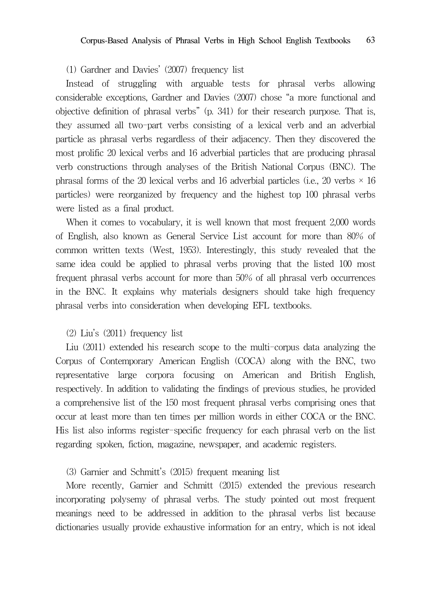#### (1) Gardner and Davies' (2007) frequency list

Instead of struggling with arguable tests for phrasal verbs allowing considerable exceptions, Gardner and Davies (2007) chose "a more functional and objective definition of phrasal verbs" (p. 341) for their research purpose. That is, they assumed all two-part verbs consisting of a lexical verb and an adverbial particle as phrasal verbs regardless of their adjacency. Then they discovered the most prolific 20 lexical verbs and 16 adverbial particles that are producing phrasal verb constructions through analyses of the British National Corpus (BNC). The phrasal forms of the 20 lexical verbs and 16 adverbial particles (i.e., 20 verbs  $\times$  16 particles) were reorganized by frequency and the highest top 100 phrasal verbs were listed as a final product.

When it comes to vocabulary, it is well known that most frequent 2,000 words of English, also known as General Service List account for more than 80% of common written texts (West, 1953). Interestingly, this study revealed that the same idea could be applied to phrasal verbs proving that the listed 100 most frequent phrasal verbs account for more than 50% of all phrasal verb occurrences in the BNC. It explains why materials designers should take high frequency phrasal verbs into consideration when developing EFL textbooks.

#### (2) Liu's (2011) frequency list

Liu (2011) extended his research scope to the multi-corpus data analyzing the Corpus of Contemporary American English (COCA) along with the BNC, two representative large corpora focusing on American and British English, respectively. In addition to validating the findings of previous studies, he provided a comprehensive list of the 150 most frequent phrasal verbs comprising ones that occur at least more than ten times per million words in either COCA or the BNC. His list also informs register-specific frequency for each phrasal verb on the list regarding spoken, fiction, magazine, newspaper, and academic registers.

#### (3) Garnier and Schmitt's (2015) frequent meaning list

More recently, Garnier and Schmitt (2015) extended the previous research incorporating polysemy of phrasal verbs. The study pointed out most frequent meanings need to be addressed in addition to the phrasal verbs list because dictionaries usually provide exhaustive information for an entry, which is not ideal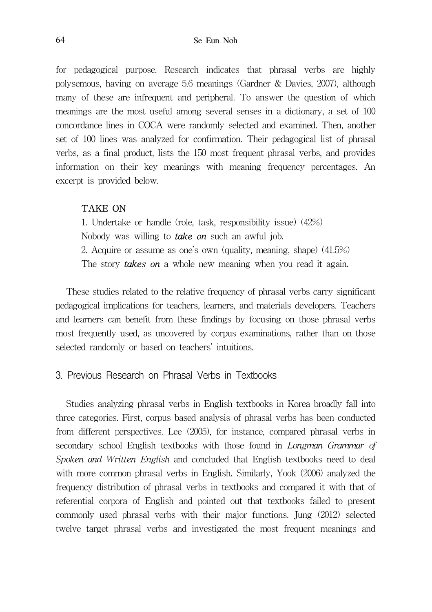for pedagogical purpose. Research indicates that phrasal verbs are highly polysemous, having on average 5.6 meanings (Gardner & Davies, 2007), although many of these are infrequent and peripheral. To answer the question of which meanings are the most useful among several senses in a dictionary, a set of 100 concordance lines in COCA were randomly selected and examined. Then, another set of 100 lines was analyzed for confirmation. Their pedagogical list of phrasal verbs, as a final product, lists the 150 most frequent phrasal verbs, and provides information on their key meanings with meaning frequency percentages. An excerpt is provided below.

#### TAKE ON

1. Undertake or handle (role, task, responsibility issue) (42%) Nobody was willing to **take on** such an awful job. 2. Acquire or assume as one's own (quality, meaning, shape) (41.5%) The story **takes on** a whole new meaning when you read it again.

These studies related to the relative frequency of phrasal verbs carry significant pedagogical implications for teachers, learners, and materials developers. Teachers and learners can benefit from these findings by focusing on those phrasal verbs most frequently used, as uncovered by corpus examinations, rather than on those selected randomly or based on teachers' intuitions.

### 3. Previous Research on Phrasal Verbs in Textbooks

Studies analyzing phrasal verbs in English textbooks in Korea broadly fall into three categories. First, corpus based analysis of phrasal verbs has been conducted from different perspectives. Lee (2005), for instance, compared phrasal verbs in secondary school English textbooks with those found in *Longman Grammar of* Spoken and Written English and concluded that English textbooks need to deal with more common phrasal verbs in English. Similarly, Yook (2006) analyzed the frequency distribution of phrasal verbs in textbooks and compared it with that of referential corpora of English and pointed out that textbooks failed to present commonly used phrasal verbs with their major functions. Jung (2012) selected twelve target phrasal verbs and investigated the most frequent meanings and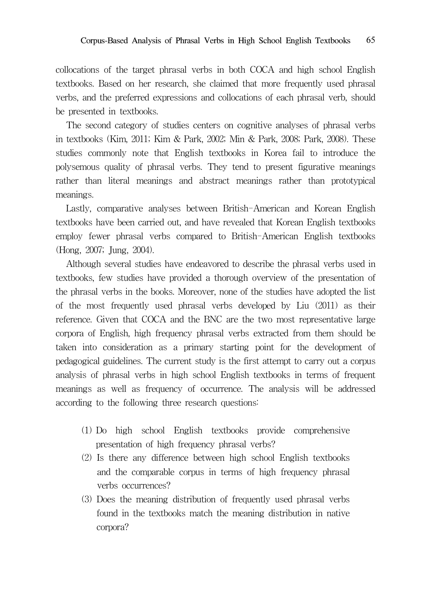collocations of the target phrasal verbs in both COCA and high school English textbooks. Based on her research, she claimed that more frequently used phrasal verbs, and the preferred expressions and collocations of each phrasal verb, should be presented in textbooks.

The second category of studies centers on cognitive analyses of phrasal verbs in textbooks (Kim, 2011; Kim & Park, 2002; Min & Park, 2008; Park, 2008). These studies commonly note that English textbooks in Korea fail to introduce the polysemous quality of phrasal verbs. They tend to present figurative meanings rather than literal meanings and abstract meanings rather than prototypical meanings.

Lastly, comparative analyses between British-American and Korean English textbooks have been carried out, and have revealed that Korean English textbooks employ fewer phrasal verbs compared to British-American English textbooks (Hong, 2007; Jung, 2004).

Although several studies have endeavored to describe the phrasal verbs used in textbooks, few studies have provided a thorough overview of the presentation of the phrasal verbs in the books. Moreover, none of the studies have adopted the list of the most frequently used phrasal verbs developed by Liu (2011) as their reference. Given that COCA and the BNC are the two most representative large corpora of English, high frequency phrasal verbs extracted from them should be taken into consideration as a primary starting point for the development of pedagogical guidelines. The current study is the first attempt to carry out a corpus analysis of phrasal verbs in high school English textbooks in terms of frequent meanings as well as frequency of occurrence. The analysis will be addressed according to the following three research questions:

- (1) Do high school English textbooks provide comprehensive presentation of high frequency phrasal verbs?
- (2) Is there any difference between high school English textbooks and the comparable corpus in terms of high frequency phrasal verbs occurrences?
- (3) Does the meaning distribution of frequently used phrasal verbs found in the textbooks match the meaning distribution in native corpora?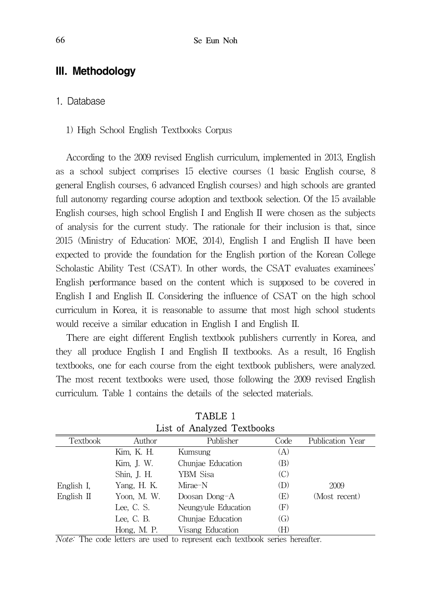# III. Methodology

# 1. Database

#### 1) High School English Textbooks Corpus

According to the 2009 revised English curriculum, implemented in 2013, English as a school subject comprises 15 elective courses (1 basic English course, 8 general English courses, 6 advanced English courses) and high schools are granted full autonomy regarding course adoption and textbook selection. Of the 15 available English courses, high school English I and English II were chosen as the subjects of analysis for the current study. The rationale for their inclusion is that, since 2015 (Ministry of Education: MOE, 2014), English I and English II have been expected to provide the foundation for the English portion of the Korean College Scholastic Ability Test (CSAT). In other words, the CSAT evaluates examinees' English performance based on the content which is supposed to be covered in English I and English II. Considering the influence of CSAT on the high school curriculum in Korea, it is reasonable to assume that most high school students would receive a similar education in English I and English II.

There are eight different English textbook publishers currently in Korea, and they all produce English I and English II textbooks. As a result, 16 English textbooks, one for each course from the eight textbook publishers, were analyzed. The most recent textbooks were used, those following the 2009 revised English curriculum. Table 1 contains the details of the selected materials.

| List of Allaryzed Textbooks |             |                     |                   |                  |  |  |  |
|-----------------------------|-------------|---------------------|-------------------|------------------|--|--|--|
| <b>Textbook</b>             | Author      | Publisher           | Code              | Publication Year |  |  |  |
|                             | Kim, K. H.  | Kumsung             | (A)               |                  |  |  |  |
|                             | Kim, J. W.  | Chuniae Education   | (B)               |                  |  |  |  |
|                             | Shin, J. H. | YBM Sisa            | (C)               |                  |  |  |  |
| English I.                  | Yang, H. K. | Mirae-N             | (D)               | 2009             |  |  |  |
| English II                  | Yoon, M. W. | Doosan Dong-A       | (E)               | (Most recent)    |  |  |  |
|                             | Lee, C. S.  | Neungvule Education | (F)               |                  |  |  |  |
|                             | Lee, C. B.  | Chuniae Education   | $\left( G\right)$ |                  |  |  |  |
|                             | Hong, M. P. | Visang Education    | (H)               |                  |  |  |  |

TABLE 1 List of Analyzed Textbooks

Note: The code letters are used to represent each textbook series hereafter.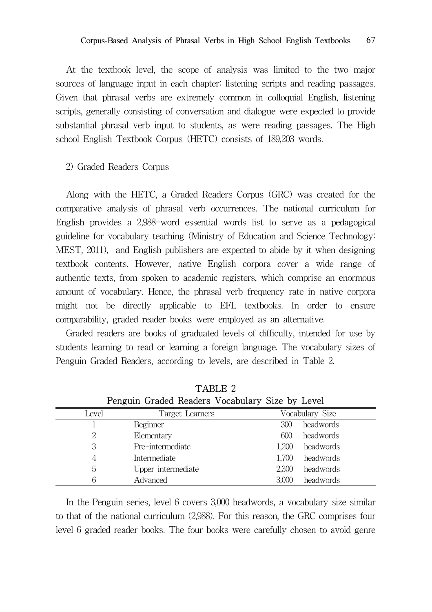At the textbook level, the scope of analysis was limited to the two major sources of language input in each chapter: listening scripts and reading passages. Given that phrasal verbs are extremely common in colloquial English, listening scripts, generally consisting of conversation and dialogue were expected to provide substantial phrasal verb input to students, as were reading passages. The High school English Textbook Corpus (HETC) consists of 189,203 words.

2) Graded Readers Corpus

Along with the HETC, a Graded Readers Corpus (GRC) was created for the comparative analysis of phrasal verb occurrences. The national curriculum for English provides a 2,988-word essential words list to serve as a pedagogical guideline for vocabulary teaching (Ministry of Education and Science Technology: MEST, 2011), and English publishers are expected to abide by it when designing textbook contents. However, native English corpora cover a wide range of authentic texts, from spoken to academic registers, which comprise an enormous amount of vocabulary. Hence, the phrasal verb frequency rate in native corpora might not be directly applicable to EFL textbooks. In order to ensure comparability, graded reader books were employed as an alternative.

Graded readers are books of graduated levels of difficulty, intended for use by students learning to read or learning a foreign language. The vocabulary sizes of Penguin Graded Readers, according to levels, are described in Table 2.

| Penguin Graded Readers Vocabulary Size by Level |                    |       |                 |  |  |
|-------------------------------------------------|--------------------|-------|-----------------|--|--|
| Level                                           | Target Learners    |       | Vocabulary Size |  |  |
|                                                 | Beginner           | 300   | headwords       |  |  |
| 2                                               | Elementary         | 600   | headwords       |  |  |
| 3                                               | Pre-intermediate   | 1.200 | headwords       |  |  |
| 4                                               | Intermediate       | 1,700 | headwords       |  |  |
| 5                                               | Upper intermediate | 2.300 | headwords       |  |  |
| 6                                               | Advanced           | 3,000 | headwords       |  |  |

TABLE 2

In the Penguin series, level 6 covers 3,000 headwords, a vocabulary size similar to that of the national curriculum (2,988). For this reason, the GRC comprises four level 6 graded reader books. The four books were carefully chosen to avoid genre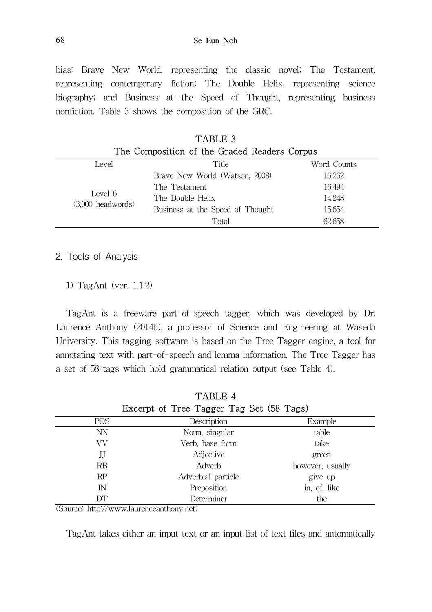68 Se Eun Noh

bias: Brave New World, representing the classic novel; The Testament, representing contemporary fiction; The Double Helix, representing science biography; and Business at the Speed of Thought, representing business nonfiction. Table 3 shows the composition of the GRC.

| The Composition of the Graded Readers Corpus |                                  |             |  |  |
|----------------------------------------------|----------------------------------|-------------|--|--|
| Level                                        | Title                            | Word Counts |  |  |
|                                              | Brave New World (Watson, 2008)   | 16,262      |  |  |
|                                              | The Testament                    | 16,494      |  |  |
| Level 6                                      | The Double Helix                 | 14,248      |  |  |
| $(3,000$ headwords)                          | Business at the Speed of Thought | 15,654      |  |  |
|                                              | Total                            | 62.658      |  |  |

TABLE 3

# 2. Tools of Analysis

1) TagAnt (ver. 1.1.2)

TagAnt is a freeware part-of-speech tagger, which was developed by Dr. Laurence Anthony (2014b), a professor of Science and Engineering at Waseda University. This tagging software is based on the Tree Tagger engine, a tool for annotating text with part-of-speech and lemma information. The Tree Tagger has a set of 58 tags which hold grammatical relation output (see Table 4).

|        | Example                                                                                                                                                      |
|--------|--------------------------------------------------------------------------------------------------------------------------------------------------------------|
|        | table                                                                                                                                                        |
|        | take                                                                                                                                                         |
|        | green                                                                                                                                                        |
| Adverb | however, usually                                                                                                                                             |
|        | give up                                                                                                                                                      |
|        | in, of, like                                                                                                                                                 |
|        | the                                                                                                                                                          |
|        | Excerpt of Tree Tagger Tag Set (58 Tags)<br>Description<br>Noun, singular<br>Verb, base form<br>Adjective<br>Adverbial particle<br>Preposition<br>Determiner |

TABLE 4

(Source: http://www.laurenceanthony.net)

TagAnt takes either an input text or an input list of text files and automatically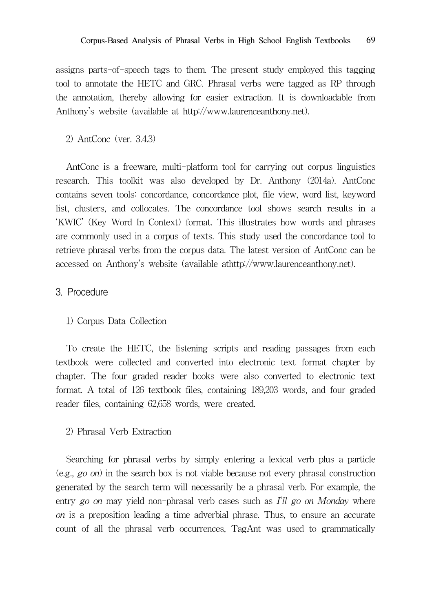assigns parts-of-speech tags to them. The present study employed this tagging tool to annotate the HETC and GRC. Phrasal verbs were tagged as RP through the annotation, thereby allowing for easier extraction. It is downloadable from Anthony's website (available at http://www.laurenceanthony.net).

2) AntConc (ver. 3.4.3)

AntConc is a freeware, multi-platform tool for carrying out corpus linguistics research. This toolkit was also developed by Dr. Anthony (2014a). AntConc contains seven tools: concordance, concordance plot, file view, word list, keyword list, clusters, and collocates. The concordance tool shows search results in a 'KWIC' (Key Word In Context) format. This illustrates how words and phrases are commonly used in a corpus of texts. This study used the concordance tool to retrieve phrasal verbs from the corpus data. The latest version of AntConc can be accessed on Anthony's website (available athttp://www.laurenceanthony.net).

### 3. Procedure

#### 1) Corpus Data Collection

To create the HETC, the listening scripts and reading passages from each textbook were collected and converted into electronic text format chapter by chapter. The four graded reader books were also converted to electronic text format. A total of 126 textbook files, containing 189,203 words, and four graded reader files, containing 62,658 words, were created.

### 2) Phrasal Verb Extraction

Searching for phrasal verbs by simply entering a lexical verb plus a particle (e.g., go on) in the search box is not viable because not every phrasal construction generated by the search term will necessarily be a phrasal verb. For example, the entry go on may yield non-phrasal verb cases such as  $I'll$  go on Monday where on is a preposition leading a time adverbial phrase. Thus, to ensure an accurate count of all the phrasal verb occurrences, TagAnt was used to grammatically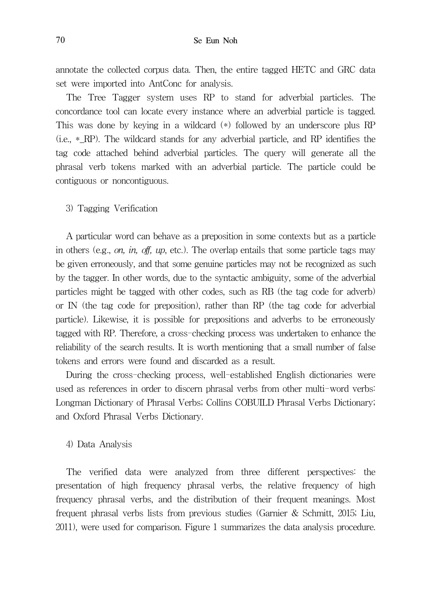annotate the collected corpus data. Then, the entire tagged HETC and GRC data set were imported into AntConc for analysis.

The Tree Tagger system uses RP to stand for adverbial particles. The concordance tool can locate every instance where an adverbial particle is tagged. This was done by keying in a wildcard (\*) followed by an underscore plus RP (i.e., \*\_RP). The wildcard stands for any adverbial particle, and RP identifies the tag code attached behind adverbial particles. The query will generate all the phrasal verb tokens marked with an adverbial particle. The particle could be contiguous or noncontiguous.

3) Tagging Verification

A particular word can behave as a preposition in some contexts but as a particle in others (e.g., on, in, off, up, etc.). The overlap entails that some particle tags may be given erroneously, and that some genuine particles may not be recognized as such by the tagger. In other words, due to the syntactic ambiguity, some of the adverbial particles might be tagged with other codes, such as RB (the tag code for adverb) or IN (the tag code for preposition), rather than RP (the tag code for adverbial particle). Likewise, it is possible for prepositions and adverbs to be erroneously tagged with RP. Therefore, a cross-checking process was undertaken to enhance the reliability of the search results. It is worth mentioning that a small number of false tokens and errors were found and discarded as a result.

During the cross-checking process, well-established English dictionaries were used as references in order to discern phrasal verbs from other multi-word verbs: Longman Dictionary of Phrasal Verbs; Collins COBUILD Phrasal Verbs Dictionary; and Oxford Phrasal Verbs Dictionary.

#### 4) Data Analysis

The verified data were analyzed from three different perspectives: the presentation of high frequency phrasal verbs, the relative frequency of high frequency phrasal verbs, and the distribution of their frequent meanings. Most frequent phrasal verbs lists from previous studies (Garnier & Schmitt, 2015; Liu, 2011), were used for comparison. Figure 1 summarizes the data analysis procedure.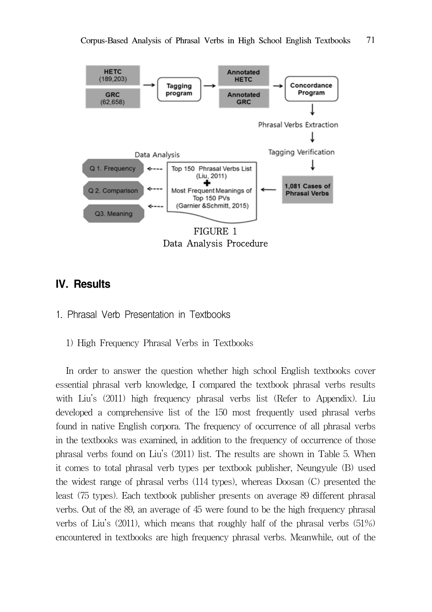

# IV. Results



1) High Frequency Phrasal Verbs in Textbooks

In order to answer the question whether high school English textbooks cover essential phrasal verb knowledge, I compared the textbook phrasal verbs results with Liu's (2011) high frequency phrasal verbs list (Refer to Appendix). Liu developed a comprehensive list of the 150 most frequently used phrasal verbs found in native English corpora. The frequency of occurrence of all phrasal verbs in the textbooks was examined, in addition to the frequency of occurrence of those phrasal verbs found on Liu's (2011) list. The results are shown in Table 5. When it comes to total phrasal verb types per textbook publisher, Neungyule (B) used the widest range of phrasal verbs (114 types), whereas Doosan (C) presented the least (75 types). Each textbook publisher presents on average 89 different phrasal verbs. Out of the 89, an average of 45 were found to be the high frequency phrasal verbs of Liu's (2011), which means that roughly half of the phrasal verbs (51%) encountered in textbooks are high frequency phrasal verbs. Meanwhile, out of the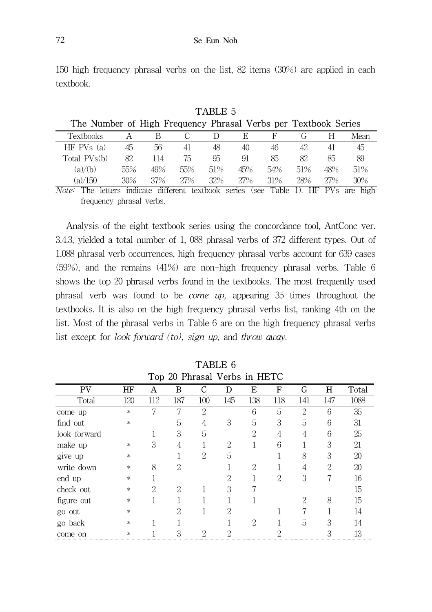150 high frequency phrasal verbs on the list, 82 items (30%) are applied in each textbook.

 $TATITE$ 

| TADLE 9                                                        |     |               |     |     |     |               |                                   |     |      |
|----------------------------------------------------------------|-----|---------------|-----|-----|-----|---------------|-----------------------------------|-----|------|
| The Number of High Frequency Phrasal Verbs per Textbook Series |     |               |     |     |     |               |                                   |     |      |
| Textbooks                                                      |     |               |     |     | E   | F             |                                   |     | Mean |
| $HF$ PVs $(a)$                                                 | 45  | 56            | 41  | 48  | 40  | 46            | 42                                | 41  | 45   |
| Total PVs(b)                                                   | 82  | 114           | 75  | 95  | 91  | 85            | 82.                               | 85  | 89   |
| (a)/(b)                                                        | 55% | 49%           | 55% | 51% | 45% | 54%           | 51%                               | 48% | 51%  |
| (a)/150                                                        | 30% | 37%           | 27% | 32% | 27% | 31%           | 28%                               | 27% | 30%  |
| $\cdots$<br>$\mathbf{H}$ and $\mathbf{H}$                      |     | $\rightarrow$ |     |     |     | $\sim$ $\sim$ | $\mathbf{A}$ , where $\mathbf{A}$ |     |      |

Note: The letters indicate different textbook series (see Table 1). HF PVs are high frequency phrasal verbs.

Analysis of the eight textbook series using the concordance tool, AntConc ver. 3.4.3, yielded a total number of 1, 088 phrasal verbs of 372 different types. Out of 1,088 phrasal verb occurrences, high frequency phrasal verbs account for 639 cases (59%), and the remains (41%) are non-high frequency phrasal verbs. Table 6 shows the top 20 phrasal verbs found in the textbooks. The most frequently used phrasal verb was found to be come up, appearing 35 times throughout the textbooks. It is also on the high frequency phrasal verbs list, ranking 4th on the list. Most of the phrasal verbs in Table 6 are on the high frequency phrasal verbs list except for look forward (to), sign up, and throw away.

| Top 20 Phrasal Verbs in HETC |        |     |                             |               |                             |                             |     |     |     |       |
|------------------------------|--------|-----|-----------------------------|---------------|-----------------------------|-----------------------------|-----|-----|-----|-------|
| PV                           | HF     | A   | в                           | С             | D                           | Е                           | F   | G   | н   | Total |
| Total                        | 120    | 112 | 187                         | 100           | 145                         | 138                         | 118 | 141 | 147 | 1088  |
| come up                      | $\ast$ |     |                             | $\mathcal{D}$ |                             | 6                           | 5   | 2   | 6   | 35    |
| find out                     | $\ast$ |     | 5                           | 4             | 3                           | 5                           | 3   | 5   | 6   | 31    |
| look forward                 |        |     | 3                           | 5             |                             | 2                           | 4   | 4   | 6   | 25    |
| make up                      | $\ast$ | 3   |                             |               | $\mathcal{D}_{\mathcal{L}}$ |                             | 6   |     | 3   | 21    |
| give up                      | $\ast$ |     |                             | $\mathcal{D}$ | 5                           |                             |     | 8   | 3   | 20    |
| write down                   | *      | 8   | 2                           |               |                             | $\mathcal{D}_{\mathcal{L}}$ |     | 4   | 2   | 20    |
| end up                       | $\ast$ |     |                             |               | 2                           |                             | 2   | 3   |     | 16    |
| check out                    | $\ast$ | 2   | $\mathcal{D}_{\mathcal{L}}$ |               | 3                           |                             |     |     |     | 15    |
| figure out                   | *      |     |                             |               |                             |                             |     | 2   | 8   | 15    |
| go out                       | $\ast$ |     | 2                           |               | $\mathcal{P}$               |                             |     | 7   |     | 14    |
| go back                      | *      |     |                             |               |                             | $\mathcal{D}$               |     | 5   | 3   | 14    |
| come on                      | *      |     |                             | റ             |                             |                             |     |     | 3   | 13    |

TABLE 6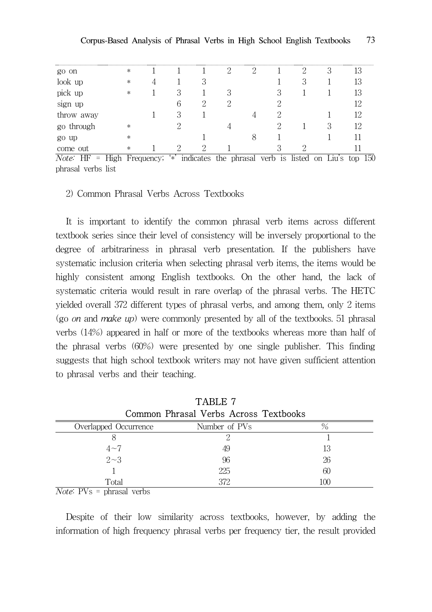| go on      | * |     | റ | $\Omega$ |  |  |
|------------|---|-----|---|----------|--|--|
| look up    | * |     |   |          |  |  |
| pick up    | * |     |   |          |  |  |
| sign up    |   |     |   |          |  |  |
| throw away |   | . . |   |          |  |  |
| go through | * |     |   |          |  |  |
| go up      | ∗ |     |   |          |  |  |
| come out   | * |     |   |          |  |  |

Note:  $HF = High Frequency$ ; '\*' indicates the phrasal verb is listed on Liu's top 150 phrasal verbs list

#### 2) Common Phrasal Verbs Across Textbooks

It is important to identify the common phrasal verb items across different textbook series since their level of consistency will be inversely proportional to the degree of arbitrariness in phrasal verb presentation. If the publishers have systematic inclusion criteria when selecting phrasal verb items, the items would be highly consistent among English textbooks. On the other hand, the lack of systematic criteria would result in rare overlap of the phrasal verbs. The HETC yielded overall 372 different types of phrasal verbs, and among them, only 2 items (go on and make up) were commonly presented by all of the textbooks. 51 phrasal verbs (14%) appeared in half or more of the textbooks whereas more than half of the phrasal verbs (60%) were presented by one single publisher. This finding suggests that high school textbook writers may not have given sufficient attention to phrasal verbs and their teaching.

| TABLE 7                                                                               |               |     |  |  |  |
|---------------------------------------------------------------------------------------|---------------|-----|--|--|--|
| Common Phrasal Verbs Across Textbooks                                                 |               |     |  |  |  |
| Overlapped Occurrence                                                                 | Number of PVs |     |  |  |  |
|                                                                                       |               |     |  |  |  |
| $4 - 7$                                                                               | 49            | 13  |  |  |  |
| $2 \sim 3$                                                                            | 96            | 26  |  |  |  |
|                                                                                       | 225           | 60  |  |  |  |
| Total                                                                                 | 372           | 100 |  |  |  |
| $\mathbf{M}^T$ $\rightarrow$ $\mathbf{M}^T$<br>$\mathbf{1}$ $\mathbf{1}$ $\mathbf{1}$ |               |     |  |  |  |

*Note*:  $PV_s = phrasal$  verbs

Despite of their low similarity across textbooks, however, by adding the information of high frequency phrasal verbs per frequency tier, the result provided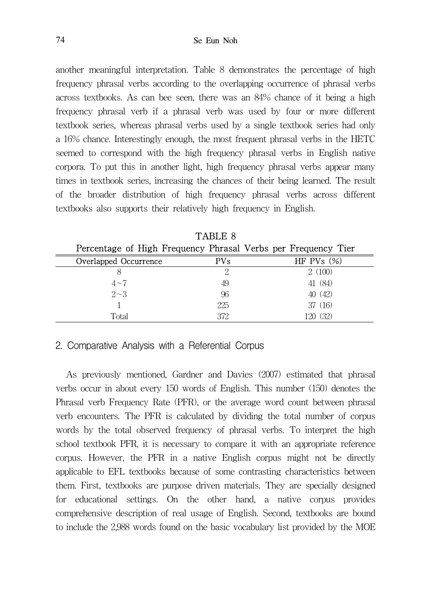another meaningful interpretation. Table 8 demonstrates the percentage of high frequency phrasal verbs according to the overlapping occurrence of phrasal verbs across textbooks. As can bee seen, there was an 84% chance of it being a high frequency phrasal verb if a phrasal verb was used by four or more different textbook series, whereas phrasal verbs used by a single textbook series had only a 16% chance. Interestingly enough, the most frequent phrasal verbs in the HETC seemed to correspond with the high frequency phrasal verbs in English native corpora. To put this in another light, high frequency phrasal verbs appear many times in textbook series, increasing the chances of their being learned. The result of the broader distribution of high frequency phrasal verbs across different textbooks also supports their relatively high frequency in English.

|                                                               | TABLE 8      |               |  |  |  |  |
|---------------------------------------------------------------|--------------|---------------|--|--|--|--|
| Percentage of High Frequency Phrasal Verbs per Frequency Tier |              |               |  |  |  |  |
| Overlapped Occurrence                                         | $_{\rm PVs}$ | HF PVs $(\%)$ |  |  |  |  |
|                                                               |              | 2(100)        |  |  |  |  |
| $4 - 7$                                                       | 49           | 41 (84)       |  |  |  |  |
| $2 \sim 3$                                                    | 96           | 40(42)        |  |  |  |  |
|                                                               | 225          | 37(16)        |  |  |  |  |
| Total                                                         | 372          | 120 (32)      |  |  |  |  |

TABLE 8

### 2. Comparative Analysis with a Referential Corpus

As previously mentioned, Gardner and Davies (2007) estimated that phrasal verbs occur in about every 150 words of English. This number (150) denotes the Phrasal verb Frequency Rate (PFR), or the average word count between phrasal verb encounters. The PFR is calculated by dividing the total number of corpus words by the total observed frequency of phrasal verbs. To interpret the high school textbook PFR, it is necessary to compare it with an appropriate reference corpus. However, the PFR in a native English corpus might not be directly applicable to EFL textbooks because of some contrasting characteristics between them. First, textbooks are purpose driven materials. They are specially designed for educational settings. On the other hand, a native corpus provides comprehensive description of real usage of English. Second, textbooks are bound to include the 2,988 words found on the basic vocabulary list provided by the MOE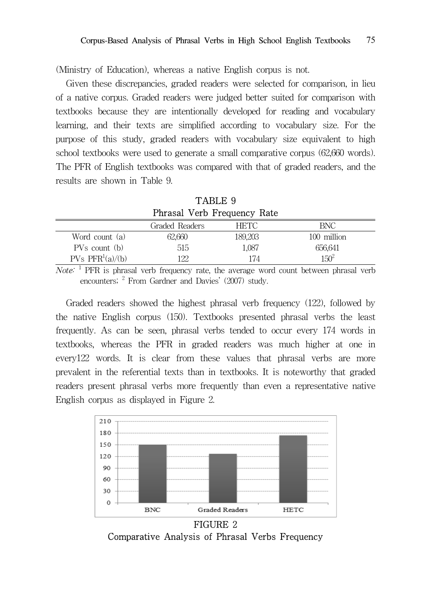(Ministry of Education), whereas a native English corpus is not.

Given these discrepancies, graded readers were selected for comparison, in lieu of a native corpus. Graded readers were judged better suited for comparison with textbooks because they are intentionally developed for reading and vocabulary learning, and their texts are simplified according to vocabulary size. For the purpose of this study, graded readers with vocabulary size equivalent to high school textbooks were used to generate a small comparative corpus (62,660 words). The PFR of English textbooks was compared with that of graded readers, and the results are shown in Table 9.

| TABLE 9                     |                |             |             |  |  |  |
|-----------------------------|----------------|-------------|-------------|--|--|--|
| Phrasal Verb Frequency Rate |                |             |             |  |  |  |
|                             | Graded Readers | <b>HETC</b> | BNC.        |  |  |  |
| Word count (a)              | 62,660         | 189,203     | 100 million |  |  |  |
| PVs count (b)               | 515            | 1,087       | 656,641     |  |  |  |
| PVs $PFR^{1}(a)/(b)$        | 122            | 174         | $150^{2}$   |  |  |  |

Note: <sup>1</sup> PFR is phrasal verb frequency rate, the average word count between phrasal verb encounters; <sup>2</sup> From Gardner and Davies' (2007) study.

Graded readers showed the highest phrasal verb frequency (122), followed by the native English corpus (150). Textbooks presented phrasal verbs the least frequently. As can be seen, phrasal verbs tended to occur every 174 words in textbooks, whereas the PFR in graded readers was much higher at one in every122 words. It is clear from these values that phrasal verbs are more prevalent in the referential texts than in textbooks. It is noteworthy that graded readers present phrasal verbs more frequently than even a representative native English corpus as displayed in Figure 2.



Comparative Analysis of Phrasal Verbs Frequency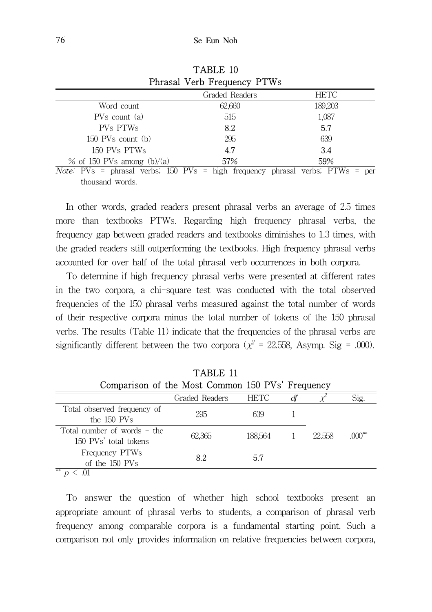| Phrasal Verb Frequency PTWs                                               |                |             |  |  |  |
|---------------------------------------------------------------------------|----------------|-------------|--|--|--|
|                                                                           | Graded Readers | <b>HETC</b> |  |  |  |
| Word count                                                                | 62,660         | 189,203     |  |  |  |
| $PVs$ count $(a)$                                                         | 515            | 1,087       |  |  |  |
| PVs PTWs                                                                  | 8.2            | 5.7         |  |  |  |
| $150$ PVs count $(b)$                                                     | 295            | 639         |  |  |  |
| 150 PVs PTWs                                                              | 4.7            | 3.4         |  |  |  |
| $%$ of 150 PVs among (b)/(a)                                              | 57%            | 59%         |  |  |  |
| $Note'$ PVs = phrasal verbs: 150 PVs = high frequency phrasal verbs: PTWs |                | Der         |  |  |  |

TABLE 10

Note: PVs = phrasal verbs; 150 PVs = high frequency phrasal verbs; PTWs = per thousand words.

In other words, graded readers present phrasal verbs an average of 2.5 times more than textbooks PTWs. Regarding high frequency phrasal verbs, the frequency gap between graded readers and textbooks diminishes to 1.3 times, with the graded readers still outperforming the textbooks. High frequency phrasal verbs accounted for over half of the total phrasal verb occurrences in both corpora.

To determine if high frequency phrasal verbs were presented at different rates in the two corpora, a chi-square test was conducted with the total observed frequencies of the 150 phrasal verbs measured against the total number of words of their respective corpora minus the total number of tokens of the 150 phrasal verbs. The results (Table 11) indicate that the frequencies of the phrasal verbs are significantly different between the two corpora ( $\chi^2$  = 22.558, Asymp. Sig = .000).

| TABLE 11                                               |                |             |    |        |          |  |  |
|--------------------------------------------------------|----------------|-------------|----|--------|----------|--|--|
| Comparison of the Most Common 150 PVs' Frequency       |                |             |    |        |          |  |  |
|                                                        | Graded Readers | <b>HETC</b> | ďf |        | Sig.     |  |  |
| Total observed frequency of<br>the 150 PVs             | 295            | 639         |    |        |          |  |  |
| Total number of words $=$ the<br>150 PVs' total tokens | 62,365         | 188.564     |    | 22.558 | $.000**$ |  |  |
| Frequency PTWs<br>of the 150 PVs                       | 8.2            | 5.7         |    |        |          |  |  |
| **<br>$^{\cap}$ 1<br>$\mathbf{r}$                      |                |             |    |        |          |  |  |

 $\sim$  .01

To answer the question of whether high school textbooks present an appropriate amount of phrasal verbs to students, a comparison of phrasal verb frequency among comparable corpora is a fundamental starting point. Such a comparison not only provides information on relative frequencies between corpora,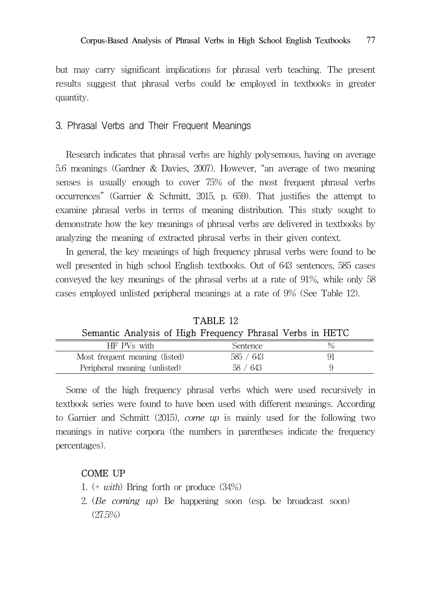but may carry significant implications for phrasal verb teaching. The present results suggest that phrasal verbs could be employed in textbooks in greater quantity.

## 3. Phrasal Verbs and Their Frequent Meanings

Research indicates that phrasal verbs are highly polysemous, having on average 5.6 meanings (Gardner & Davies, 2007). However, "an average of two meaning senses is usually enough to cover 75% of the most frequent phrasal verbs occurrences" (Garnier & Schmitt, 2015, p. 659). That justifies the attempt to examine phrasal verbs in terms of meaning distribution. This study sought to demonstrate how the key meanings of phrasal verbs are delivered in textbooks by analyzing the meaning of extracted phrasal verbs in their given context.

In general, the key meanings of high frequency phrasal verbs were found to be well presented in high school English textbooks. Out of 643 sentences, 585 cases conveyed the key meanings of the phrasal verbs at a rate of 91%, while only 58 cases employed unlisted peripheral meanings at a rate of 9% (See Table 12).

| .                                                         |           |  |  |  |  |
|-----------------------------------------------------------|-----------|--|--|--|--|
| Semantic Analysis of High Frequency Phrasal Verbs in HETC |           |  |  |  |  |
| HF PVs with                                               | Sentence  |  |  |  |  |
| Most frequent meaning (listed)                            | 585 / 643 |  |  |  |  |
| Peripheral meaning (unlisted)                             | 58 / 643  |  |  |  |  |

 $TAPID 19$ 

Some of the high frequency phrasal verbs which were used recursively in textbook series were found to have been used with different meanings. According to Garnier and Schmitt (2015), come up is mainly used for the following two meanings in native corpora (the numbers in parentheses indicate the frequency percentages).

#### COME UP

- 1. (+ with) Bring forth or produce (34%)
- 2. (Be coming up) Be happening soon (esp. be broadcast soon) (27.5%)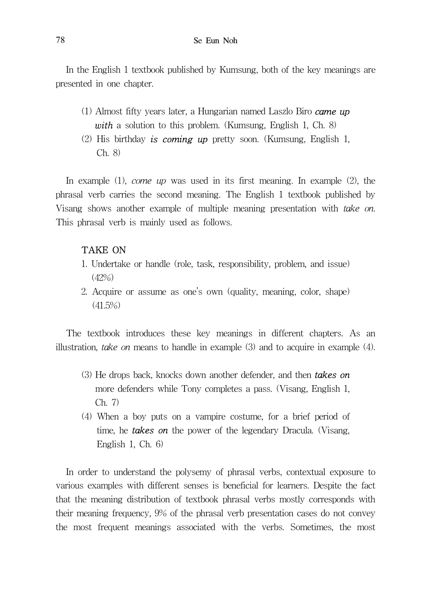In the English 1 textbook published by Kumsung, both of the key meanings are presented in one chapter.

- (1) Almost fifty years later, a Hungarian named Laszlo Biro  $\alpha$ me up with a solution to this problem. (Kumsung, English 1, Ch. 8)
- (2) His birthday is coming up pretty soon. (Kumsung, English 1, Ch. 8)

In example  $(1)$ , *come up* was used in its first meaning. In example  $(2)$ , the phrasal verb carries the second meaning. The English 1 textbook published by Visang shows another example of multiple meaning presentation with take on. This phrasal verb is mainly used as follows.

#### TAKE ON

- 1. Undertake or handle (role, task, responsibility, problem, and issue) (42%)
- 2. Acquire or assume as one's own (quality, meaning, color, shape)  $(41.5\%)$

The textbook introduces these key meanings in different chapters. As an illustration, *take on* means to handle in example  $(3)$  and to acquire in example  $(4)$ .

- (3) He drops back, knocks down another defender, and then **takes on** more defenders while Tony completes a pass. (Visang, English 1, Ch. 7)
- (4) When a boy puts on a vampire costume, for a brief period of time, he **takes on** the power of the legendary Dracula. (Visang, English 1, Ch. 6)

In order to understand the polysemy of phrasal verbs, contextual exposure to various examples with different senses is beneficial for learners. Despite the fact that the meaning distribution of textbook phrasal verbs mostly corresponds with their meaning frequency, 9% of the phrasal verb presentation cases do not convey the most frequent meanings associated with the verbs. Sometimes, the most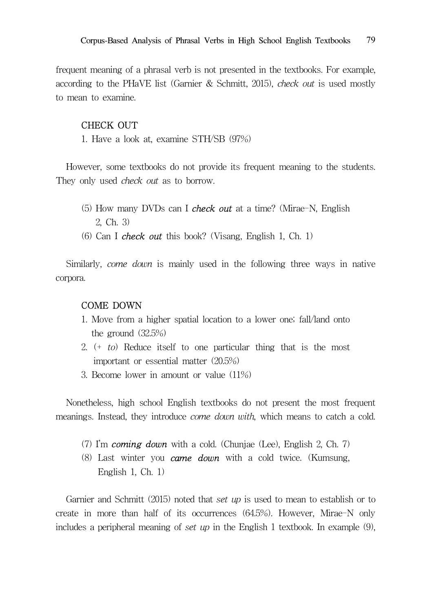frequent meaning of a phrasal verb is not presented in the textbooks. For example, according to the PHaVE list (Garnier & Schmitt, 2015), check out is used mostly to mean to examine.

#### CHECK OUT

1. Have a look at, examine STH/SB (97%)

However, some textbooks do not provide its frequent meaning to the students. They only used *check out* as to borrow.

- (5) How many DVDs can I check out at a time? (Mirae-N, English 2, Ch. 3)
- (6) Can I check out this book? (Visang, English 1, Ch. 1)

Similarly, come down is mainly used in the following three ways in native corpora.

#### COME DOWN

- 1. Move from a higher spatial location to a lower one; fall/land onto the ground (32.5%)
- 2.  $(+ to)$  Reduce itself to one particular thing that is the most important or essential matter (20.5%)
- 3. Become lower in amount or value (11%)

Nonetheless, high school English textbooks do not present the most frequent meanings. Instead, they introduce come down with, which means to catch a cold.

- (7) I'm **coming down** with a cold. (Chunjae (Lee), English 2, Ch. 7)
- (8) Last winter you **came down** with a cold twice. (Kumsung, English 1, Ch. 1)

Garnier and Schmitt (2015) noted that set up is used to mean to establish or to create in more than half of its occurrences (64.5%). However, Mirae-N only includes a peripheral meaning of set up in the English 1 textbook. In example  $(9)$ ,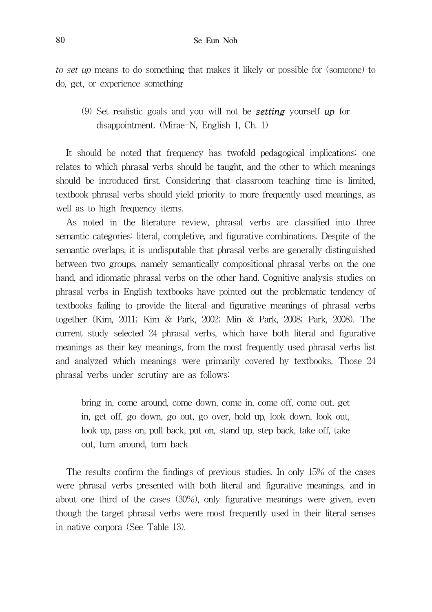to set up means to do something that makes it likely or possible for (someone) to do, get, or experience something

(9) Set realistic goals and you will not be **setting** yourself  $up$  for disappointment. (Mirae-N, English 1, Ch. 1)

It should be noted that frequency has twofold pedagogical implications; one relates to which phrasal verbs should be taught, and the other to which meanings should be introduced first. Considering that classroom teaching time is limited, textbook phrasal verbs should yield priority to more frequently used meanings, as well as to high frequency items.

As noted in the literature review, phrasal verbs are classified into three semantic categories: literal, completive, and figurative combinations. Despite of the semantic overlaps, it is undisputable that phrasal verbs are generally distinguished between two groups, namely semantically compositional phrasal verbs on the one hand, and idiomatic phrasal verbs on the other hand. Cognitive analysis studies on phrasal verbs in English textbooks have pointed out the problematic tendency of textbooks failing to provide the literal and figurative meanings of phrasal verbs together (Kim, 2011; Kim & Park, 2002; Min & Park, 2008; Park, 2008). The current study selected 24 phrasal verbs, which have both literal and figurative meanings as their key meanings, from the most frequently used phrasal verbs list and analyzed which meanings were primarily covered by textbooks. Those 24 phrasal verbs under scrutiny are as follows:

bring in, come around, come down, come in, come off, come out, get in, get off, go down, go out, go over, hold up, look down, look out, look up, pass on, pull back, put on, stand up, step back, take off, take out, turn around, turn back

The results confirm the findings of previous studies. In only 15% of the cases were phrasal verbs presented with both literal and figurative meanings, and in about one third of the cases (30%), only figurative meanings were given, even though the target phrasal verbs were most frequently used in their literal senses in native corpora (See Table 13).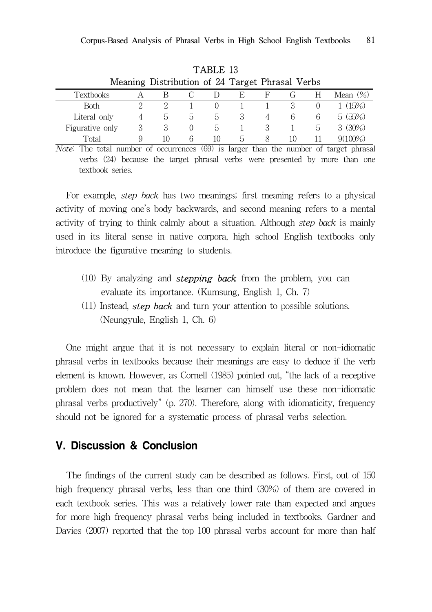| TABLE 13                                        |   |    |                  |                  |    |   |    |    |             |
|-------------------------------------------------|---|----|------------------|------------------|----|---|----|----|-------------|
| Meaning Distribution of 24 Target Phrasal Verbs |   |    |                  |                  |    |   |    |    |             |
| Textbooks                                       |   |    |                  |                  | E  | F |    | н  | Mean $(\%)$ |
| <b>Both</b>                                     | 2 | 2  |                  | $\left( \right)$ |    |   |    |    | (15%)       |
| Literal only                                    |   | b. | b.               | $\mathcal{D}$    |    | 4 | 6  | 6  | 5(55%)      |
| Figurative only                                 | 3 | 3  | $\left( \right)$ | b.               |    |   |    | b. | 3(30%)      |
| Total                                           | 9 | 10 | 6                | 10               | b. |   | 10 |    | $9(100\%)$  |

Note: The total number of occurrences (69) is larger than the number of target phrasal verbs (24) because the target phrasal verbs were presented by more than one textbook series.

For example, step back has two meanings; first meaning refers to a physical activity of moving one's body backwards, and second meaning refers to a mental activity of trying to think calmly about a situation. Although step back is mainly used in its literal sense in native corpora, high school English textbooks only introduce the figurative meaning to students.

- (10) By analyzing and **stepping back** from the problem, you can evaluate its importance. (Kumsung, English 1, Ch. 7)
- $(11)$  Instead, step back and turn your attention to possible solutions. (Neungyule, English 1, Ch. 6)

One might argue that it is not necessary to explain literal or non-idiomatic phrasal verbs in textbooks because their meanings are easy to deduce if the verb element is known. However, as Cornell (1985) pointed out, "the lack of a receptive problem does not mean that the learner can himself use these non-idiomatic phrasal verbs productively" (p. 270). Therefore, along with idiomaticity, frequency should not be ignored for a systematic process of phrasal verbs selection.

# V. Discussion & Conclusion

The findings of the current study can be described as follows. First, out of 150 high frequency phrasal verbs, less than one third (30%) of them are covered in each textbook series. This was a relatively lower rate than expected and argues for more high frequency phrasal verbs being included in textbooks. Gardner and Davies (2007) reported that the top 100 phrasal verbs account for more than half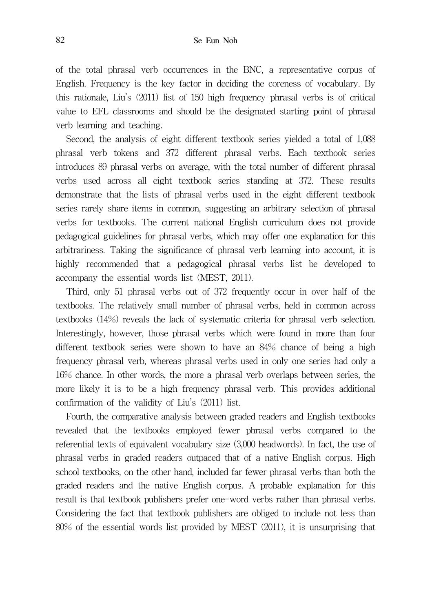of the total phrasal verb occurrences in the BNC, a representative corpus of English. Frequency is the key factor in deciding the coreness of vocabulary. By this rationale, Liu's (2011) list of 150 high frequency phrasal verbs is of critical value to EFL classrooms and should be the designated starting point of phrasal verb learning and teaching.

Second, the analysis of eight different textbook series yielded a total of 1,088 phrasal verb tokens and 372 different phrasal verbs. Each textbook series introduces 89 phrasal verbs on average, with the total number of different phrasal verbs used across all eight textbook series standing at 372. These results demonstrate that the lists of phrasal verbs used in the eight different textbook series rarely share items in common, suggesting an arbitrary selection of phrasal verbs for textbooks. The current national English curriculum does not provide pedagogical guidelines for phrasal verbs, which may offer one explanation for this arbitrariness. Taking the significance of phrasal verb learning into account, it is highly recommended that a pedagogical phrasal verbs list be developed to accompany the essential words list (MEST, 2011).

Third, only 51 phrasal verbs out of 372 frequently occur in over half of the textbooks. The relatively small number of phrasal verbs, held in common across textbooks (14%) reveals the lack of systematic criteria for phrasal verb selection. Interestingly, however, those phrasal verbs which were found in more than four different textbook series were shown to have an 84% chance of being a high frequency phrasal verb, whereas phrasal verbs used in only one series had only a 16% chance. In other words, the more a phrasal verb overlaps between series, the more likely it is to be a high frequency phrasal verb. This provides additional confirmation of the validity of Liu's (2011) list.

Fourth, the comparative analysis between graded readers and English textbooks revealed that the textbooks employed fewer phrasal verbs compared to the referential texts of equivalent vocabulary size (3,000 headwords). In fact, the use of phrasal verbs in graded readers outpaced that of a native English corpus. High school textbooks, on the other hand, included far fewer phrasal verbs than both the graded readers and the native English corpus. A probable explanation for this result is that textbook publishers prefer one-word verbs rather than phrasal verbs. Considering the fact that textbook publishers are obliged to include not less than 80% of the essential words list provided by MEST (2011), it is unsurprising that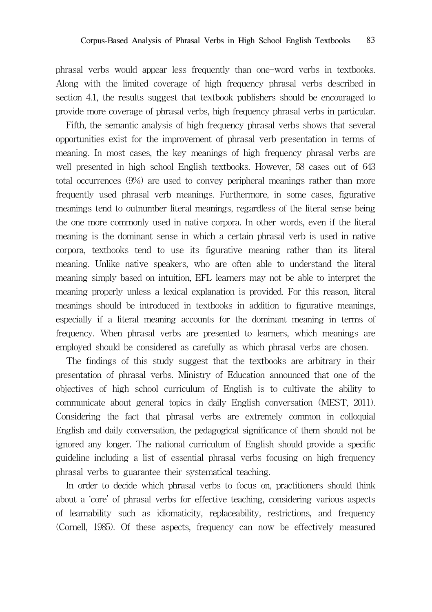phrasal verbs would appear less frequently than one-word verbs in textbooks. Along with the limited coverage of high frequency phrasal verbs described in section 4.1, the results suggest that textbook publishers should be encouraged to provide more coverage of phrasal verbs, high frequency phrasal verbs in particular.

Fifth, the semantic analysis of high frequency phrasal verbs shows that several opportunities exist for the improvement of phrasal verb presentation in terms of meaning. In most cases, the key meanings of high frequency phrasal verbs are well presented in high school English textbooks. However, 58 cases out of 643 total occurrences (9%) are used to convey peripheral meanings rather than more frequently used phrasal verb meanings. Furthermore, in some cases, figurative meanings tend to outnumber literal meanings, regardless of the literal sense being the one more commonly used in native corpora. In other words, even if the literal meaning is the dominant sense in which a certain phrasal verb is used in native corpora, textbooks tend to use its figurative meaning rather than its literal meaning. Unlike native speakers, who are often able to understand the literal meaning simply based on intuition, EFL learners may not be able to interpret the meaning properly unless a lexical explanation is provided. For this reason, literal meanings should be introduced in textbooks in addition to figurative meanings, especially if a literal meaning accounts for the dominant meaning in terms of frequency. When phrasal verbs are presented to learners, which meanings are employed should be considered as carefully as which phrasal verbs are chosen.

The findings of this study suggest that the textbooks are arbitrary in their presentation of phrasal verbs. Ministry of Education announced that one of the objectives of high school curriculum of English is to cultivate the ability to communicate about general topics in daily English conversation (MEST, 2011). Considering the fact that phrasal verbs are extremely common in colloquial English and daily conversation, the pedagogical significance of them should not be ignored any longer. The national curriculum of English should provide a specific guideline including a list of essential phrasal verbs focusing on high frequency phrasal verbs to guarantee their systematical teaching.

In order to decide which phrasal verbs to focus on, practitioners should think about a 'core' of phrasal verbs for effective teaching, considering various aspects of learnability such as idiomaticity, replaceability, restrictions, and frequency (Cornell, 1985). Of these aspects, frequency can now be effectively measured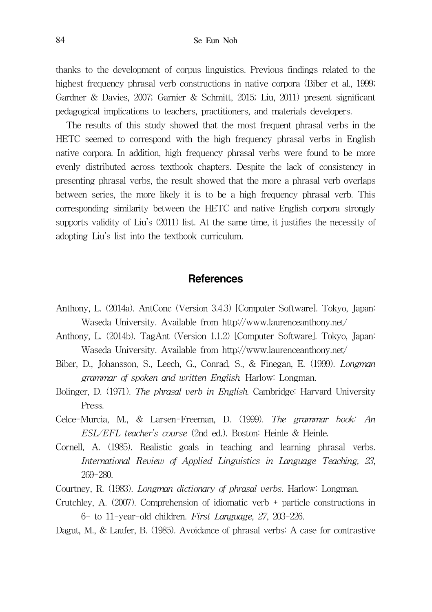thanks to the development of corpus linguistics. Previous findings related to the highest frequency phrasal verb constructions in native corpora (Biber et al., 1999; Gardner & Davies, 2007; Garnier & Schmitt, 2015; Liu, 2011) present significant pedagogical implications to teachers, practitioners, and materials developers.

The results of this study showed that the most frequent phrasal verbs in the HETC seemed to correspond with the high frequency phrasal verbs in English native corpora. In addition, high frequency phrasal verbs were found to be more evenly distributed across textbook chapters. Despite the lack of consistency in presenting phrasal verbs, the result showed that the more a phrasal verb overlaps between series, the more likely it is to be a high frequency phrasal verb. This corresponding similarity between the HETC and native English corpora strongly supports validity of Liu's (2011) list. At the same time, it justifies the necessity of adopting Liu's list into the textbook curriculum.

# **References**

- Anthony, L. (2014a). AntConc (Version 3.4.3) [Computer Software]. Tokyo, Japan: Waseda University. Available from http://www.laurenceanthony.net/
- Anthony, L. (2014b). TagAnt (Version 1.1.2) [Computer Software]. Tokyo, Japan: Waseda University. Available from http://www.laurenceanthony.net/
- Biber, D., Johansson, S., Leech, G., Conrad, S., & Finegan, E. (1999). Longman grammar of spoken and written English. Harlow: Longman.
- Bolinger, D. (1971). The phrasal verb in English. Cambridge: Harvard University Press.
- Celce-Murcia, M., & Larsen-Freeman, D. (1999). The grammar book: An ESL/EFL teacher's course (2nd ed.). Boston: Heinle & Heinle.
- Cornell, A. (1985). Realistic goals in teaching and learning phrasal verbs. International Review of Applied Linguistics in Language Teaching, 23, 269-280.
- Courtney, R. (1983). Longman dictionary of phrasal verbs. Harlow: Longman.
- Crutchley, A. (2007). Comprehension of idiomatic verb + particle constructions in 6- to 11-year-old children. First Language, 27, 203-226.
- Dagut, M., & Laufer, B. (1985). Avoidance of phrasal verbs: A case for contrastive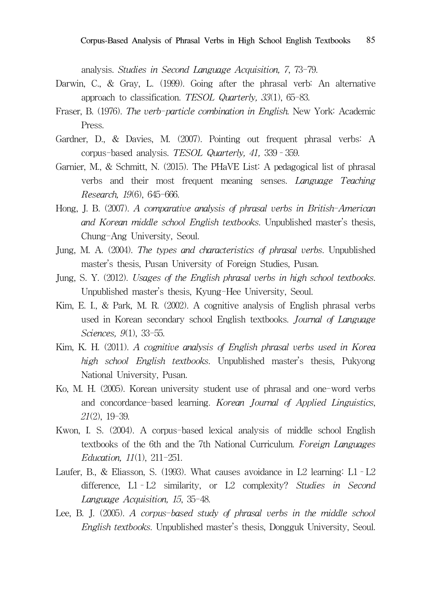analysis. Studies in Second Language Acquisition, 7, 73-79.

- Darwin, C., & Gray, L. (1999). Going after the phrasal verb: An alternative approach to classification. TESOL Quarterly, 33(1), 65-83.
- Fraser, B. (1976). The verb-particle combination in English. New York: Academic Press.
- Gardner, D., & Davies, M. (2007). Pointing out frequent phrasal verbs: A corpus-based analysis. TESOL Quarterly, 41, 339–359.
- Garnier, M., & Schmitt, N. (2015). The PHaVE List: A pedagogical list of phrasal verbs and their most frequent meaning senses. Language Teaching Research, 19(6), 645-666.
- Hong, J. B. (2007). A comparative analysis of phrasal verbs in British-American and Korean middle school English textbooks. Unpublished master's thesis, Chung-Ang University, Seoul.
- Jung, M. A. (2004). The types and characteristics of phrasal verbs. Unpublished master's thesis, Pusan University of Foreign Studies, Pusan.
- Jung, S. Y. (2012). Usages of the English phrasal verbs in high school textbooks. Unpublished master's thesis, Kyung-Hee University, Seoul.
- Kim, E. I., & Park, M. R. (2002). A cognitive analysis of English phrasal verbs used in Korean secondary school English textbooks. Journal of Language Sciences, 9(1), 33-55.
- Kim, K. H. (2011). A cognitive analysis of English phrasal verbs used in Korea high school English textbooks. Unpublished master's thesis, Pukyong National University, Pusan.
- Ko, M. H. (2005). Korean university student use of phrasal and one-word verbs and concordance-based learning. Korean Journal of Applied Linguistics, 21(2), 19-39.
- Kwon, I. S. (2004). A corpus-based lexical analysis of middle school English textbooks of the 6th and the 7th National Curriculum. Foreign Languages Education, 11(1), 211-251.
- Laufer, B., & Eliasson, S. (1993). What causes avoidance in L2 learning: L1–L2 difference, L1–L2 similarity, or L2 complexity? Studies in Second Language Acquisition, 15, 35-48.
- Lee, B. J. (2005). A corpus-based study of phrasal verbs in the middle school English textbooks. Unpublished master's thesis, Dongguk University, Seoul.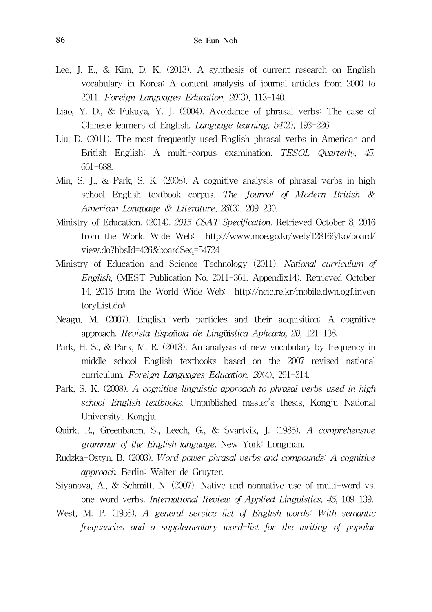- Lee, J. E., & Kim, D. K. (2013). A synthesis of current research on English vocabulary in Korea: A content analysis of journal articles from 2000 to 2011. Foreign Languages Education, 20(3), 113-140.
- Liao, Y. D., & Fukuya, Y. J. (2004). Avoidance of phrasal verbs: The case of Chinese learners of English. Language learning, 54(2), 193-226.
- Liu, D. (2011). The most frequently used English phrasal verbs in American and British English: A multi-corpus examination. TESOL Quarterly, 45, 661-688.
- Min, S. J., & Park, S. K. (2008). A cognitive analysis of phrasal verbs in high school English textbook corpus. The Journal of Modern British & American Language & Literature, 26(3), 209-230.
- Ministry of Education. (2014). 2015 CSAT Specification. Retrieved October 8, 2016 from the World Wide Web: http://www.moe.go.kr/web/128166/ko/board/ view.do?bbsId=426&boardSeq=54724
- Ministry of Education and Science Technology (2011). National curriculum of English, (MEST Publication No. 2011-361. Appendix14). Retrieved October 14, 2016 from the World Wide Web: http://ncic.re.kr/mobile.dwn.ogf.inven toryList.do#
- Neagu, M. (2007). English verb particles and their acquisition: A cognitive approach. Revista Española de Lingüística Aplicada, 20, 121-138.
- Park, H. S., & Park, M. R. (2013). An analysis of new vocabulary by frequency in middle school English textbooks based on the 2007 revised national curriculum. Foreign Languages Education, 20(4), 291-314.
- Park, S. K. (2008). A cognitive linguistic approach to phrasal verbs used in high school English textbooks. Unpublished master's thesis, Kongju National University, Kongju.
- Quirk, R., Greenbaum, S., Leech, G., & Svartvik, J. (1985). A comprehensive grammar of the English language. New York: Longman.
- Rudzka-Ostyn, B. (2003). Word power phrasal verbs and compounds: A cognitive approach. Berlin: Walter de Gruyter.
- Siyanova, A., & Schmitt, N. (2007). Native and nonnative use of multi-word vs. one-word verbs. International Review of Applied Linguistics, 45, 109-139.
- West, M. P. (1953). A general service list of English words: With semantic frequencies and a supplementary word-list for the writing of popular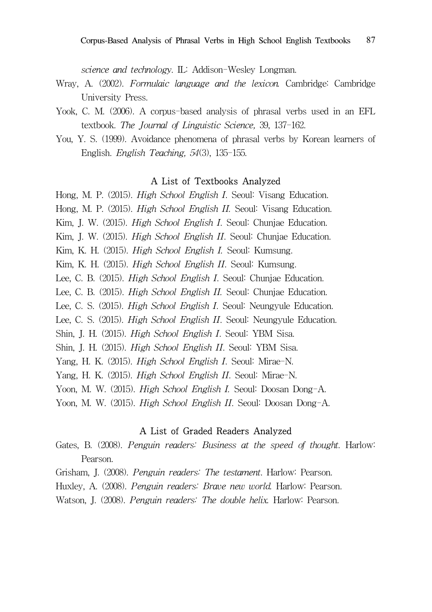science and technology. IL: Addison-Wesley Longman.

- Wray, A. (2002). Formulaic language and the lexicon. Cambridge: Cambridge University Press.
- Yook, C. M. (2006). A corpus-based analysis of phrasal verbs used in an EFL textbook. The Journal of Linguistic Science, 39, 137-162.
- You, Y. S. (1999). Avoidance phenomena of phrasal verbs by Korean learners of English. English Teaching, 54(3), 135-155.

#### A List of Textbooks Analyzed

Hong, M. P. (2015). High School English I. Seoul: Visang Education. Hong, M. P. (2015). High School English II. Seoul: Visang Education. Kim, J. W. (2015). *High School English I*. Seoul: Chunjae Education. Kim, J. W. (2015). *High School English II*. Seoul: Chunjae Education. Kim, K. H. (2015). High School English I. Seoul: Kumsung. Kim, K. H. (2015). High School English II. Seoul: Kumsung. Lee, C. B. (2015). High School English I. Seoul: Chunjae Education. Lee, C. B. (2015). High School English II. Seoul: Chunjae Education. Lee, C. S. (2015). High School English I. Seoul: Neungyule Education. Lee, C. S. (2015). High School English II. Seoul: Neungyule Education. Shin, J. H. (2015). High School English I. Seoul: YBM Sisa. Shin, J. H. (2015). High School English II. Seoul: YBM Sisa. Yang, H. K. (2015). High School English I. Seoul: Mirae-N. Yang, H. K. (2015). High School English II. Seoul: Mirae-N. Yoon, M. W. (2015). High School English I. Seoul: Doosan Dong-A. Yoon, M. W. (2015). High School English II. Seoul: Doosan Dong-A.

#### A List of Graded Readers Analyzed

- Gates, B. (2008). Penguin readers: Business at the speed of thought. Harlow: Pearson.
- Grisham, J. (2008). Penguin readers: The testament. Harlow: Pearson.
- Huxley, A. (2008). Penguin readers: Brave new world. Harlow: Pearson.
- Watson, J. (2008). Penguin readers: The double helix. Harlow: Pearson.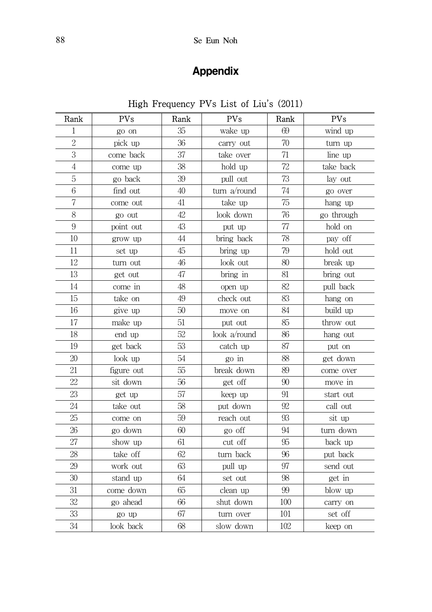# Appendix

# High Frequency PVs List of Liu's (2011)

| Rank           | <b>PVs</b> | Rank | <b>PVs</b><br>Rank |     | <b>PVs</b> |
|----------------|------------|------|--------------------|-----|------------|
| 1              | go on      | 35   | wake up            | 69  | wind up    |
| $\overline{2}$ | pick up    | 36   | carry out          | 70  | turn up    |
| 3              | come back  | 37   | take over          | 71  | line up    |
| $\overline{4}$ | come up    | 38   | hold up            | 72  | take back  |
| $\mathbf 5$    | go back    | 39   | pull out           | 73  | lay out    |
| 6              | find out   | 40   | turn a/round       | 74  | go over    |
| 7              | come out   | 41   | take up            | 75  | hang up    |
| 8              | go out     | 42   | look down          | 76  | go through |
| 9              | point out  | 43   | put up             | 77  | hold on    |
| 10             | grow up    | 44   | bring back         | 78  | pay off    |
| 11             | set up     | 45   | bring up           | 79  | hold out   |
| 12             | turn out   | 46   | look out           | 80  | break up   |
| 13             | get out    | 47   | bring in           | 81  | bring out  |
| 14             | come in    | 48   | open up            | 82  | pull back  |
| 15             | take on    | 49   | check out          | 83  | hang on    |
| 16             | give up    | 50   | move on            | 84  | build up   |
| 17             | make up    | 51   | put out            | 85  | throw out  |
| 18             | end up     | 52   | look a/round       | 86  | hang out   |
| 19             | get back   | 53   | catch up           | 87  | put on     |
| 20             | look up    | 54   | go in              | 88  | get down   |
| 21             | figure out | 55   | break down         | 89  | come over  |
| 22             | sit down   | 56   | get off            | 90  | move in    |
| 23             | get up     | 57   | keep up            | 91  | start out  |
| 24             | take out   | 58   | put down           | 92  | call out   |
| 25             | come on    | 59   | reach out          | 93  | sit up     |
| 26             | go down    | 60   | go off             | 94  | turn down  |
| 27             | show up    | 61   | cut off            | 95  | back up    |
| 28             | take off   | 62   | turn back          | 96  | put back   |
| 29             | work out   | 63   | pull up            | 97  | send out   |
| 30             | stand up   | 64   | set out            | 98  | get in     |
| 31             | come down  | 65   | clean up           | 99  | blow up    |
| 32             | go ahead   | 66   | shut down          | 100 | carry on   |
| 33             | go up      | 67   | turn over          | 101 | set off    |
| 34             | look back  | 68   | slow down          | 102 | keep on    |